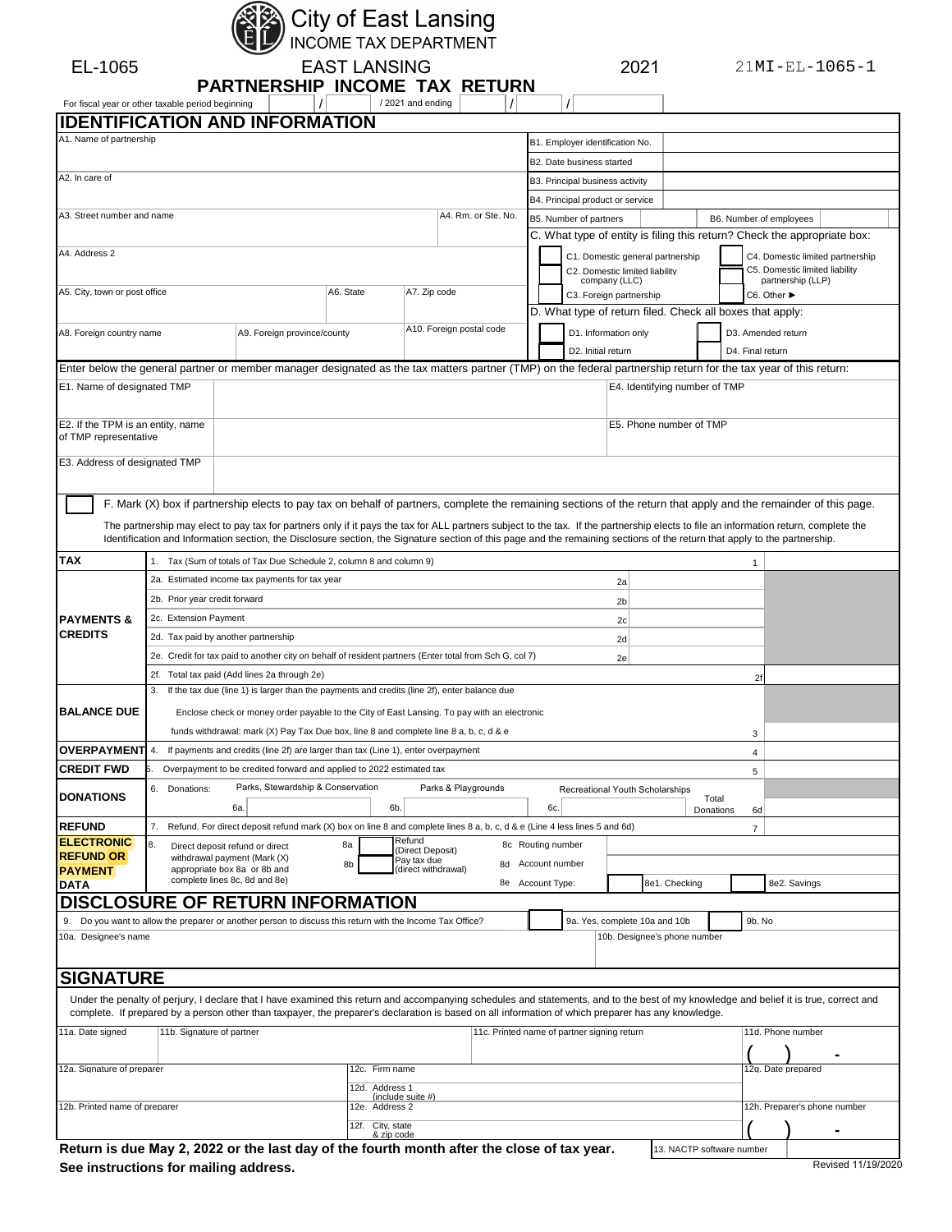

City of East Lansing<br>INCOME TAX DEPARTMENT

EAST LANSING 2021

| For fiscal year or other taxable period beginning          |                                                        | <b>PARTNERSHIP INCOME TAX RETURN</b>                                                                                                                                                                                                                                                                                                                               |                                | /2021 and ending                   |                                             |                   |                                            |                                                                                      |                           |                                        |                                                                          |  |
|------------------------------------------------------------|--------------------------------------------------------|--------------------------------------------------------------------------------------------------------------------------------------------------------------------------------------------------------------------------------------------------------------------------------------------------------------------------------------------------------------------|--------------------------------|------------------------------------|---------------------------------------------|-------------------|--------------------------------------------|--------------------------------------------------------------------------------------|---------------------------|----------------------------------------|--------------------------------------------------------------------------|--|
|                                                            |                                                        | <b>IDENTIFICATION AND INFORMATION</b>                                                                                                                                                                                                                                                                                                                              |                                |                                    |                                             |                   |                                            |                                                                                      |                           |                                        |                                                                          |  |
| A1. Name of partnership                                    |                                                        |                                                                                                                                                                                                                                                                                                                                                                    |                                |                                    |                                             |                   | B1. Employer identification No.            |                                                                                      |                           |                                        |                                                                          |  |
|                                                            |                                                        |                                                                                                                                                                                                                                                                                                                                                                    |                                |                                    |                                             |                   | B2. Date business started                  |                                                                                      |                           |                                        |                                                                          |  |
| A2. In care of                                             |                                                        |                                                                                                                                                                                                                                                                                                                                                                    |                                |                                    |                                             |                   | B3. Principal business activity            |                                                                                      |                           |                                        |                                                                          |  |
|                                                            |                                                        |                                                                                                                                                                                                                                                                                                                                                                    |                                |                                    |                                             |                   | B4. Principal product or service           |                                                                                      |                           |                                        |                                                                          |  |
| A3. Street number and name                                 |                                                        |                                                                                                                                                                                                                                                                                                                                                                    |                                |                                    | A4. Rm. or Ste. No.                         |                   | B5. Number of partners                     |                                                                                      |                           | B6. Number of employees                |                                                                          |  |
|                                                            |                                                        |                                                                                                                                                                                                                                                                                                                                                                    |                                |                                    |                                             |                   |                                            |                                                                                      |                           |                                        | C. What type of entity is filing this return? Check the appropriate box: |  |
| A4. Address 2                                              |                                                        |                                                                                                                                                                                                                                                                                                                                                                    |                                |                                    |                                             |                   |                                            | C1. Domestic general partnership<br>C2. Domestic limited liability                   |                           |                                        | C4. Domestic limited partnership<br>C5. Domestic limited liability       |  |
| A5. City, town or post office                              |                                                        |                                                                                                                                                                                                                                                                                                                                                                    | A6. State                      | A7. Zip code                       |                                             |                   | company (LLC)                              |                                                                                      |                           |                                        | partnership (LLP)                                                        |  |
|                                                            |                                                        |                                                                                                                                                                                                                                                                                                                                                                    |                                |                                    |                                             |                   |                                            | C3. Foreign partnership<br>D. What type of return filed. Check all boxes that apply: |                           | C6. Other ▶                            |                                                                          |  |
|                                                            |                                                        |                                                                                                                                                                                                                                                                                                                                                                    |                                | A10. Foreign postal code           |                                             |                   |                                            |                                                                                      |                           |                                        |                                                                          |  |
| A8. Foreign country name                                   |                                                        | A9. Foreign province/county                                                                                                                                                                                                                                                                                                                                        |                                |                                    |                                             |                   | D1. Information only<br>D2. Initial return |                                                                                      |                           | D3. Amended return<br>D4. Final return |                                                                          |  |
|                                                            |                                                        | Enter below the general partner or member manager designated as the tax matters partner (TMP) on the federal partnership return for the tax year of this return:                                                                                                                                                                                                   |                                |                                    |                                             |                   |                                            |                                                                                      |                           |                                        |                                                                          |  |
| E1. Name of designated TMP                                 |                                                        |                                                                                                                                                                                                                                                                                                                                                                    |                                |                                    |                                             |                   |                                            | E4. Identifying number of TMP                                                        |                           |                                        |                                                                          |  |
|                                                            |                                                        |                                                                                                                                                                                                                                                                                                                                                                    |                                |                                    |                                             |                   |                                            |                                                                                      |                           |                                        |                                                                          |  |
| E2. If the TPM is an entity, name<br>of TMP representative |                                                        |                                                                                                                                                                                                                                                                                                                                                                    |                                |                                    |                                             |                   |                                            | E5. Phone number of TMP                                                              |                           |                                        |                                                                          |  |
| E3. Address of designated TMP                              |                                                        |                                                                                                                                                                                                                                                                                                                                                                    |                                |                                    |                                             |                   |                                            |                                                                                      |                           |                                        |                                                                          |  |
|                                                            |                                                        |                                                                                                                                                                                                                                                                                                                                                                    |                                |                                    |                                             |                   |                                            |                                                                                      |                           |                                        |                                                                          |  |
|                                                            |                                                        | F. Mark (X) box if partnership elects to pay tax on behalf of partners, complete the remaining sections of the return that apply and the remainder of this page.                                                                                                                                                                                                   |                                |                                    |                                             |                   |                                            |                                                                                      |                           |                                        |                                                                          |  |
|                                                            |                                                        | The partnership may elect to pay tax for partners only if it pays the tax for ALL partners subject to the tax. If the partnership elects to file an information return, complete the<br>Identification and Information section, the Disclosure section, the Signature section of this page and the remaining sections of the return that apply to the partnership. |                                |                                    |                                             |                   |                                            |                                                                                      |                           |                                        |                                                                          |  |
| <b>TAX</b>                                                 |                                                        |                                                                                                                                                                                                                                                                                                                                                                    |                                |                                    |                                             |                   |                                            |                                                                                      |                           |                                        |                                                                          |  |
|                                                            |                                                        | 1. Tax (Sum of totals of Tax Due Schedule 2, column 8 and column 9)                                                                                                                                                                                                                                                                                                |                                |                                    |                                             |                   |                                            |                                                                                      |                           | 1                                      |                                                                          |  |
|                                                            |                                                        | 2a. Estimated income tax payments for tax year                                                                                                                                                                                                                                                                                                                     |                                |                                    |                                             |                   |                                            | 2a                                                                                   |                           |                                        |                                                                          |  |
|                                                            | 2b. Prior year credit forward<br>2c. Extension Payment |                                                                                                                                                                                                                                                                                                                                                                    |                                |                                    |                                             |                   |                                            | 2 <sub>b</sub>                                                                       |                           |                                        |                                                                          |  |
| <b>PAYMENTS &amp;</b><br><b>CREDITS</b>                    | 2d. Tax paid by another partnership                    |                                                                                                                                                                                                                                                                                                                                                                    |                                |                                    |                                             |                   |                                            | 2c                                                                                   |                           |                                        |                                                                          |  |
|                                                            |                                                        | 2e. Credit for tax paid to another city on behalf of resident partners (Enter total from Sch G, col 7)                                                                                                                                                                                                                                                             |                                |                                    |                                             |                   |                                            | 2d                                                                                   |                           |                                        |                                                                          |  |
|                                                            |                                                        | 2f. Total tax paid (Add lines 2a through 2e)                                                                                                                                                                                                                                                                                                                       |                                |                                    |                                             |                   |                                            | 2e                                                                                   |                           | 2f                                     |                                                                          |  |
|                                                            |                                                        | 3. If the tax due (line 1) is larger than the payments and credits (line 2f), enter balance due                                                                                                                                                                                                                                                                    |                                |                                    |                                             |                   |                                            |                                                                                      |                           |                                        |                                                                          |  |
| <b>BALANCE DUE</b>                                         |                                                        | Enclose check or money order payable to the City of East Lansing. To pay with an electronic                                                                                                                                                                                                                                                                        |                                |                                    |                                             |                   |                                            |                                                                                      |                           |                                        |                                                                          |  |
|                                                            |                                                        | funds withdrawal: mark (X) Pay Tax Due box, line 8 and complete line 8 a, b, c, d & e                                                                                                                                                                                                                                                                              |                                |                                    |                                             |                   |                                            |                                                                                      |                           | 3                                      |                                                                          |  |
| <b>OVERPAYMENT</b>                                         | 4.                                                     | If payments and credits (line 2f) are larger than tax (Line 1), enter overpayment                                                                                                                                                                                                                                                                                  |                                |                                    |                                             |                   |                                            |                                                                                      |                           | $\overline{4}$                         |                                                                          |  |
| <b>CREDIT FWD</b>                                          |                                                        | Overpayment to be credited forward and applied to 2022 estimated tax                                                                                                                                                                                                                                                                                               |                                |                                    |                                             |                   |                                            |                                                                                      |                           | 5                                      |                                                                          |  |
| <b>DONATIONS</b>                                           | 6. Donations:                                          | Parks, Stewardship & Conservation                                                                                                                                                                                                                                                                                                                                  |                                | Parks & Playgrounds                |                                             |                   |                                            | Recreational Youth Scholarships                                                      |                           |                                        |                                                                          |  |
|                                                            |                                                        | 6а.                                                                                                                                                                                                                                                                                                                                                                | 6b.                            |                                    |                                             | 6c.               |                                            |                                                                                      | Total<br>Donations        | 6d                                     |                                                                          |  |
| <b>REFUND</b>                                              |                                                        | Refund. For direct deposit refund mark (X) box on line 8 and complete lines 8 a, b, c, d & e (Line 4 less lines 5 and 6d)                                                                                                                                                                                                                                          |                                |                                    |                                             |                   |                                            |                                                                                      |                           | $\overline{7}$                         |                                                                          |  |
| <b>ELECTRONIC</b><br><b>REFUND OR</b>                      | 8.                                                     | Direct deposit refund or direct<br>withdrawal payment (Mark (X)                                                                                                                                                                                                                                                                                                    | 8a                             | Refund<br>(Direct Deposit)         |                                             | 8c Routing number |                                            |                                                                                      |                           |                                        |                                                                          |  |
| <b>PAYMENT</b>                                             |                                                        | appropriate box 8a or 8b and                                                                                                                                                                                                                                                                                                                                       | 8b                             | Pay tax due<br>(direct withdrawal) |                                             | 8d Account number |                                            |                                                                                      |                           |                                        |                                                                          |  |
| <b>DATA</b>                                                |                                                        | complete lines 8c, 8d and 8e)                                                                                                                                                                                                                                                                                                                                      |                                |                                    | 8e Account Type:                            |                   |                                            | 8e1. Checking                                                                        |                           |                                        | 8e2. Savings                                                             |  |
|                                                            |                                                        | <b>DISCLOSURE OF RETURN INFORMATION</b>                                                                                                                                                                                                                                                                                                                            |                                |                                    |                                             |                   |                                            |                                                                                      |                           |                                        |                                                                          |  |
|                                                            |                                                        | 9. Do you want to allow the preparer or another person to discuss this return with the Income Tax Office?                                                                                                                                                                                                                                                          |                                |                                    |                                             |                   |                                            | 9a. Yes, complete 10a and 10b                                                        |                           | 9b. No                                 |                                                                          |  |
| 10a. Designee's name                                       |                                                        |                                                                                                                                                                                                                                                                                                                                                                    |                                |                                    |                                             |                   |                                            | 10b. Designee's phone number                                                         |                           |                                        |                                                                          |  |
|                                                            |                                                        |                                                                                                                                                                                                                                                                                                                                                                    |                                |                                    |                                             |                   |                                            |                                                                                      |                           |                                        |                                                                          |  |
| <b>SIGNATURE</b>                                           |                                                        |                                                                                                                                                                                                                                                                                                                                                                    |                                |                                    |                                             |                   |                                            |                                                                                      |                           |                                        |                                                                          |  |
|                                                            |                                                        | Under the penalty of perjury, I declare that I have examined this return and accompanying schedules and statements, and to the best of my knowledge and belief it is true, correct and<br>complete. If prepared by a person other than taxpayer, the preparer's declaration is based on all information of which preparer has any knowledge.                       |                                |                                    |                                             |                   |                                            |                                                                                      |                           |                                        |                                                                          |  |
| 11a. Date signed                                           | 11b. Signature of partner                              |                                                                                                                                                                                                                                                                                                                                                                    |                                |                                    | 11c. Printed name of partner signing return |                   |                                            |                                                                                      |                           |                                        | 11d. Phone number                                                        |  |
|                                                            |                                                        |                                                                                                                                                                                                                                                                                                                                                                    |                                |                                    |                                             |                   |                                            |                                                                                      |                           |                                        |                                                                          |  |
| 12a. Signature of preparer                                 |                                                        |                                                                                                                                                                                                                                                                                                                                                                    | 12c. Firm name                 |                                    |                                             |                   |                                            |                                                                                      |                           |                                        | 12g. Date prepared                                                       |  |
|                                                            |                                                        |                                                                                                                                                                                                                                                                                                                                                                    | 12d. Address 1                 | (include suite #)                  |                                             |                   |                                            |                                                                                      |                           |                                        |                                                                          |  |
| 12b. Printed name of preparer                              |                                                        |                                                                                                                                                                                                                                                                                                                                                                    | 12e. Address 2                 |                                    |                                             |                   |                                            |                                                                                      |                           |                                        | 12h. Preparer's phone number                                             |  |
|                                                            |                                                        |                                                                                                                                                                                                                                                                                                                                                                    | 12f. City, state<br>& zip code |                                    |                                             |                   |                                            |                                                                                      |                           |                                        |                                                                          |  |
|                                                            |                                                        | Return is due May 2, 2022 or the last day of the fourth month after the close of tax year.                                                                                                                                                                                                                                                                         |                                |                                    |                                             |                   |                                            |                                                                                      | 13. NACTP software number |                                        |                                                                          |  |

See instructions for mailing address.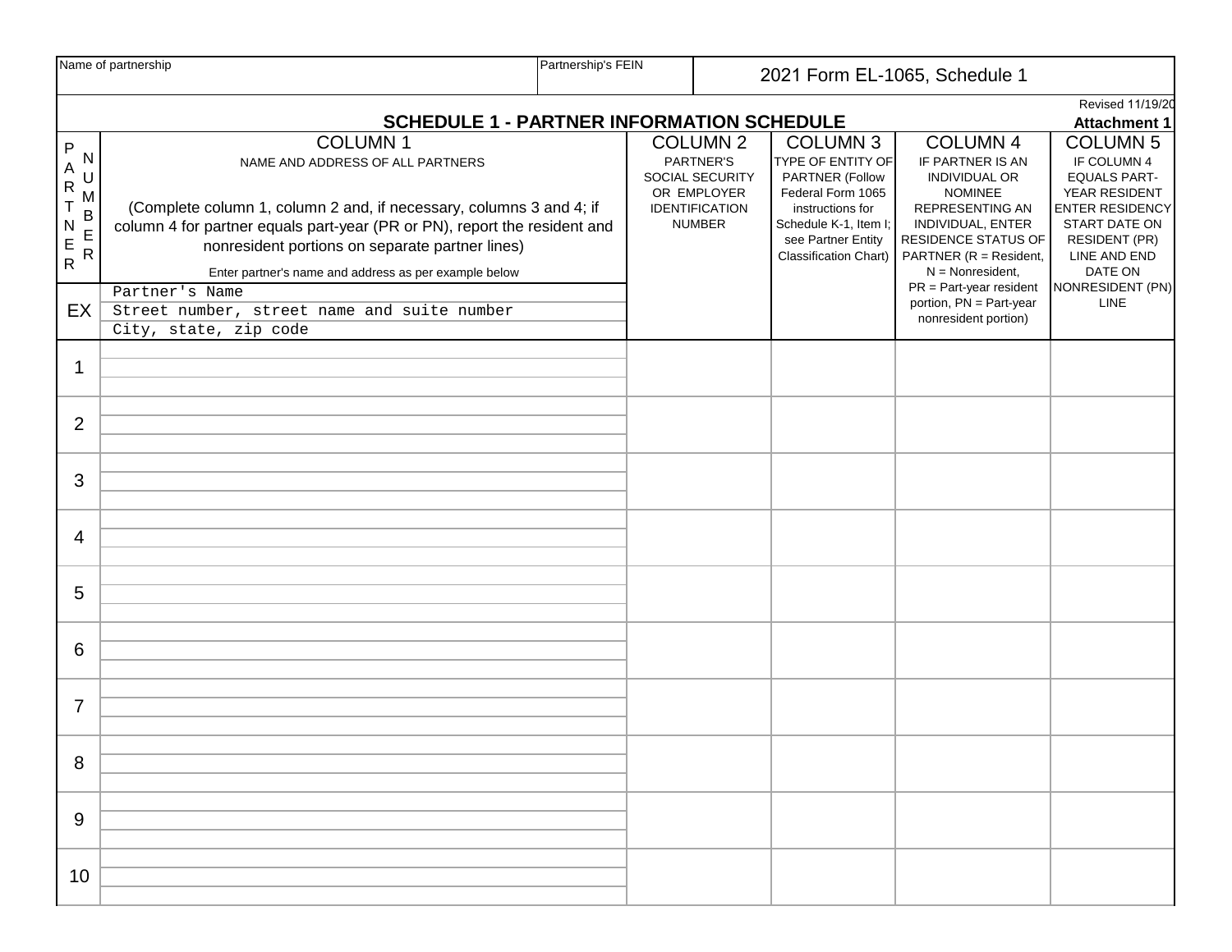|                                                                                  | Name of partnership                                                                                                                                                                                                                                                                                                                                                                                          | Partnership's FEIN                                                                          |  |                                                                                                          | 2021 Form EL-1065, Schedule 1                                                                                                                                            |                                                                                                                                                                                                                                                                                                   |                                                                                                                                                                                                  |  |  |
|----------------------------------------------------------------------------------|--------------------------------------------------------------------------------------------------------------------------------------------------------------------------------------------------------------------------------------------------------------------------------------------------------------------------------------------------------------------------------------------------------------|---------------------------------------------------------------------------------------------|--|----------------------------------------------------------------------------------------------------------|--------------------------------------------------------------------------------------------------------------------------------------------------------------------------|---------------------------------------------------------------------------------------------------------------------------------------------------------------------------------------------------------------------------------------------------------------------------------------------------|--------------------------------------------------------------------------------------------------------------------------------------------------------------------------------------------------|--|--|
|                                                                                  |                                                                                                                                                                                                                                                                                                                                                                                                              | Revised 11/19/20<br><b>SCHEDULE 1 - PARTNER INFORMATION SCHEDULE</b><br><b>Attachment 1</b> |  |                                                                                                          |                                                                                                                                                                          |                                                                                                                                                                                                                                                                                                   |                                                                                                                                                                                                  |  |  |
| P<br>N<br>A<br>U<br>$\mathsf{R}$<br>M<br>B<br>E<br>R<br>N<br>$\frac{E}{R}$<br>EX | <b>COLUMN1</b><br>NAME AND ADDRESS OF ALL PARTNERS<br>(Complete column 1, column 2 and, if necessary, columns 3 and 4; if<br>column 4 for partner equals part-year (PR or PN), report the resident and<br>nonresident portions on separate partner lines)<br>Enter partner's name and address as per example below<br>Partner's Name<br>Street number, street name and suite number<br>City, state, zip code |                                                                                             |  | <b>COLUMN 2</b><br>PARTNER'S<br>SOCIAL SECURITY<br>OR EMPLOYER<br><b>IDENTIFICATION</b><br><b>NUMBER</b> | <b>COLUMN 3</b><br>TYPE OF ENTITY OF<br>PARTNER (Follow<br>Federal Form 1065<br>instructions for<br>Schedule K-1, Item I;<br>see Partner Entity<br>Classification Chart) | <b>COLUMN 4</b><br>IF PARTNER IS AN<br><b>INDIVIDUAL OR</b><br><b>NOMINEE</b><br><b>REPRESENTING AN</b><br>INDIVIDUAL, ENTER<br><b>RESIDENCE STATUS OF</b><br>PARTNER (R = Resident,<br>$N = \text{Nonresident},$<br>$PR = Part-year resident$<br>portion, PN = Part-year<br>nonresident portion) | <b>COLUMN 5</b><br>IF COLUMN 4<br><b>EQUALS PART-</b><br>YEAR RESIDENT<br><b>ENTER RESIDENCY</b><br>START DATE ON<br><b>RESIDENT (PR)</b><br>LINE AND END<br>DATE ON<br>NONRESIDENT (PN)<br>LINE |  |  |
| 1                                                                                |                                                                                                                                                                                                                                                                                                                                                                                                              |                                                                                             |  |                                                                                                          |                                                                                                                                                                          |                                                                                                                                                                                                                                                                                                   |                                                                                                                                                                                                  |  |  |
| $\overline{2}$                                                                   |                                                                                                                                                                                                                                                                                                                                                                                                              |                                                                                             |  |                                                                                                          |                                                                                                                                                                          |                                                                                                                                                                                                                                                                                                   |                                                                                                                                                                                                  |  |  |
| 3                                                                                |                                                                                                                                                                                                                                                                                                                                                                                                              |                                                                                             |  |                                                                                                          |                                                                                                                                                                          |                                                                                                                                                                                                                                                                                                   |                                                                                                                                                                                                  |  |  |
| 4                                                                                |                                                                                                                                                                                                                                                                                                                                                                                                              |                                                                                             |  |                                                                                                          |                                                                                                                                                                          |                                                                                                                                                                                                                                                                                                   |                                                                                                                                                                                                  |  |  |
| 5                                                                                |                                                                                                                                                                                                                                                                                                                                                                                                              |                                                                                             |  |                                                                                                          |                                                                                                                                                                          |                                                                                                                                                                                                                                                                                                   |                                                                                                                                                                                                  |  |  |
| 6                                                                                |                                                                                                                                                                                                                                                                                                                                                                                                              |                                                                                             |  |                                                                                                          |                                                                                                                                                                          |                                                                                                                                                                                                                                                                                                   |                                                                                                                                                                                                  |  |  |
| $\overline{7}$                                                                   |                                                                                                                                                                                                                                                                                                                                                                                                              |                                                                                             |  |                                                                                                          |                                                                                                                                                                          |                                                                                                                                                                                                                                                                                                   |                                                                                                                                                                                                  |  |  |
| 8                                                                                |                                                                                                                                                                                                                                                                                                                                                                                                              |                                                                                             |  |                                                                                                          |                                                                                                                                                                          |                                                                                                                                                                                                                                                                                                   |                                                                                                                                                                                                  |  |  |
| 9                                                                                |                                                                                                                                                                                                                                                                                                                                                                                                              |                                                                                             |  |                                                                                                          |                                                                                                                                                                          |                                                                                                                                                                                                                                                                                                   |                                                                                                                                                                                                  |  |  |
| 10                                                                               |                                                                                                                                                                                                                                                                                                                                                                                                              |                                                                                             |  |                                                                                                          |                                                                                                                                                                          |                                                                                                                                                                                                                                                                                                   |                                                                                                                                                                                                  |  |  |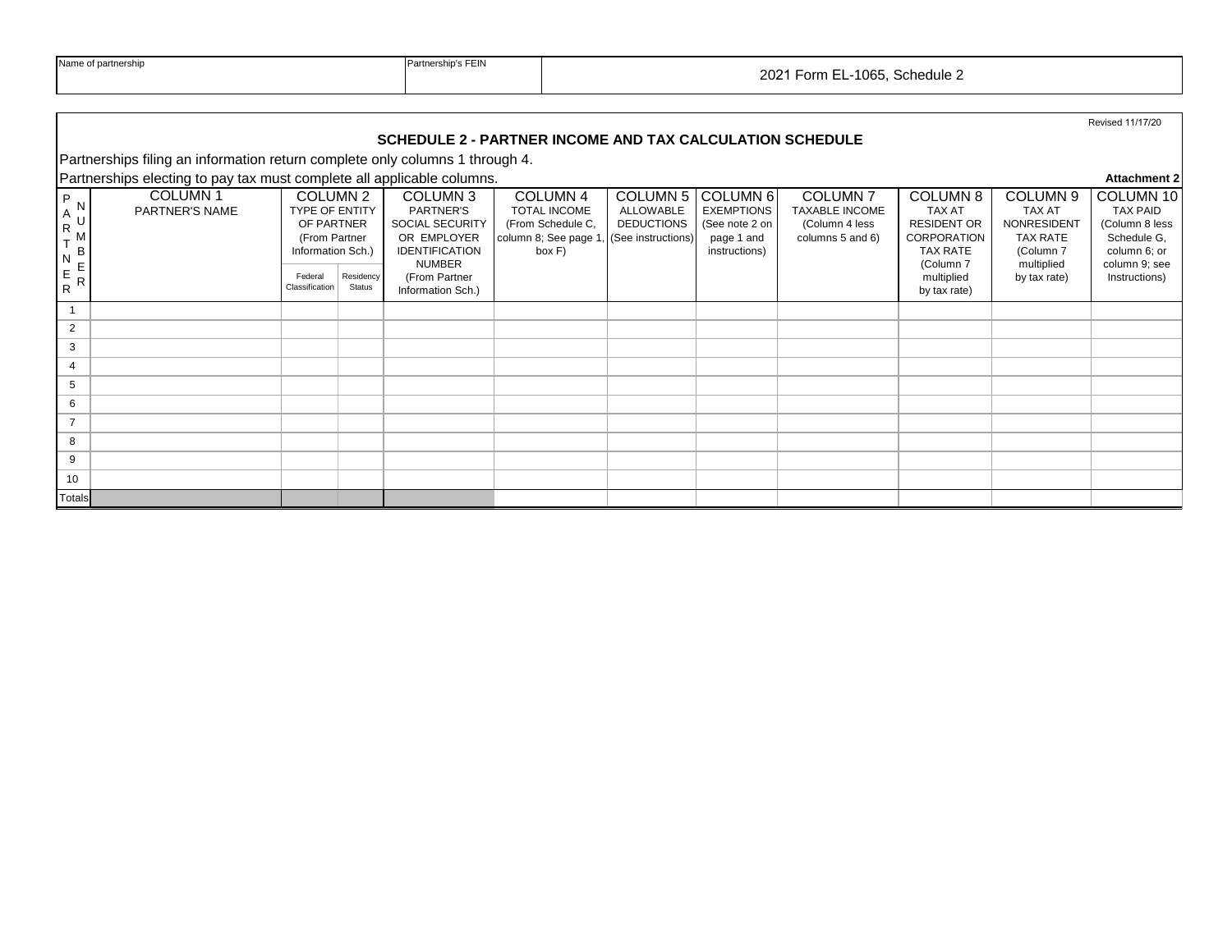|                                        | <b>INAILLE OF DAILITERSHIP</b>                                               | Faillieisilips FEIN<br>2021 Form EL-1065, Schedule 2                                  |                     |                                                                                                   |                                                                                                                       |                                                              |                                                                                           |                                                                               |                                                                                                       |                                                                                 |                                                                                                |
|----------------------------------------|------------------------------------------------------------------------------|---------------------------------------------------------------------------------------|---------------------|---------------------------------------------------------------------------------------------------|-----------------------------------------------------------------------------------------------------------------------|--------------------------------------------------------------|-------------------------------------------------------------------------------------------|-------------------------------------------------------------------------------|-------------------------------------------------------------------------------------------------------|---------------------------------------------------------------------------------|------------------------------------------------------------------------------------------------|
|                                        |                                                                              |                                                                                       |                     | SCHEDULE 2 - PARTNER INCOME AND TAX CALCULATION SCHEDULE                                          |                                                                                                                       |                                                              |                                                                                           |                                                                               |                                                                                                       |                                                                                 | Revised 11/17/20                                                                               |
|                                        | Partnerships filing an information return complete only columns 1 through 4. |                                                                                       |                     |                                                                                                   |                                                                                                                       |                                                              |                                                                                           |                                                                               |                                                                                                       |                                                                                 |                                                                                                |
|                                        | Partnerships electing to pay tax must complete all applicable columns.       |                                                                                       |                     |                                                                                                   |                                                                                                                       |                                                              |                                                                                           |                                                                               |                                                                                                       |                                                                                 | <b>Attachment 2</b>                                                                            |
| P<br>$A^N$<br>${\sf R}$<br>B<br>N<br>E | <b>COLUMN1</b><br>PARTNER'S NAME                                             | COLUMN 2<br><b>TYPE OF ENTITY</b><br>OF PARTNER<br>(From Partner<br>Information Sch.) |                     | COLUMN 3<br>PARTNER'S<br>SOCIAL SECURITY<br>OR EMPLOYER<br><b>IDENTIFICATION</b><br><b>NUMBER</b> | COLUMN <sub>4</sub><br><b>TOTAL INCOME</b><br>(From Schedule C,<br>column 8; See page 1, (See instructions)<br>box F) | COLUMN <sub>5</sub><br><b>ALLOWABLE</b><br><b>DEDUCTIONS</b> | COLUMN <sub>6</sub><br><b>EXEMPTIONS</b><br>(See note 2 on<br>page 1 and<br>instructions) | <b>COLUMN7</b><br><b>TAXABLE INCOME</b><br>(Column 4 less<br>columns 5 and 6) | COLUMN 8<br><b>TAX AT</b><br><b>RESIDENT OR</b><br><b>CORPORATION</b><br><b>TAX RATE</b><br>(Column 7 | COLUMN 9<br>TAX AT<br>NONRESIDENT<br><b>TAX RATE</b><br>(Column 7<br>multiplied | COLUMN 10<br><b>TAX PAID</b><br>(Column 8 less<br>Schedule G.<br>column 6; or<br>column 9; see |
| E<br>$\mathsf{R}$<br>$\overline{R}$    |                                                                              | Federal<br>Classification                                                             | Residency<br>Status | (From Partner<br>Information Sch.)                                                                |                                                                                                                       |                                                              |                                                                                           |                                                                               | multiplied<br>by tax rate)                                                                            | by tax rate)                                                                    | Instructions)                                                                                  |
|                                        |                                                                              |                                                                                       |                     |                                                                                                   |                                                                                                                       |                                                              |                                                                                           |                                                                               |                                                                                                       |                                                                                 |                                                                                                |
| 2                                      |                                                                              |                                                                                       |                     |                                                                                                   |                                                                                                                       |                                                              |                                                                                           |                                                                               |                                                                                                       |                                                                                 |                                                                                                |
| 3                                      |                                                                              |                                                                                       |                     |                                                                                                   |                                                                                                                       |                                                              |                                                                                           |                                                                               |                                                                                                       |                                                                                 |                                                                                                |
| $\overline{4}$                         |                                                                              |                                                                                       |                     |                                                                                                   |                                                                                                                       |                                                              |                                                                                           |                                                                               |                                                                                                       |                                                                                 |                                                                                                |
| 5                                      |                                                                              |                                                                                       |                     |                                                                                                   |                                                                                                                       |                                                              |                                                                                           |                                                                               |                                                                                                       |                                                                                 |                                                                                                |
| 6<br>$\overline{7}$                    |                                                                              |                                                                                       |                     |                                                                                                   |                                                                                                                       |                                                              |                                                                                           |                                                                               |                                                                                                       |                                                                                 |                                                                                                |
| 8                                      |                                                                              |                                                                                       |                     |                                                                                                   |                                                                                                                       |                                                              |                                                                                           |                                                                               |                                                                                                       |                                                                                 |                                                                                                |
| 9                                      |                                                                              |                                                                                       |                     |                                                                                                   |                                                                                                                       |                                                              |                                                                                           |                                                                               |                                                                                                       |                                                                                 |                                                                                                |
| 10                                     |                                                                              |                                                                                       |                     |                                                                                                   |                                                                                                                       |                                                              |                                                                                           |                                                                               |                                                                                                       |                                                                                 |                                                                                                |
| Totals                                 |                                                                              |                                                                                       |                     |                                                                                                   |                                                                                                                       |                                                              |                                                                                           |                                                                               |                                                                                                       |                                                                                 |                                                                                                |

Name of partnership **Partnership's FEIN**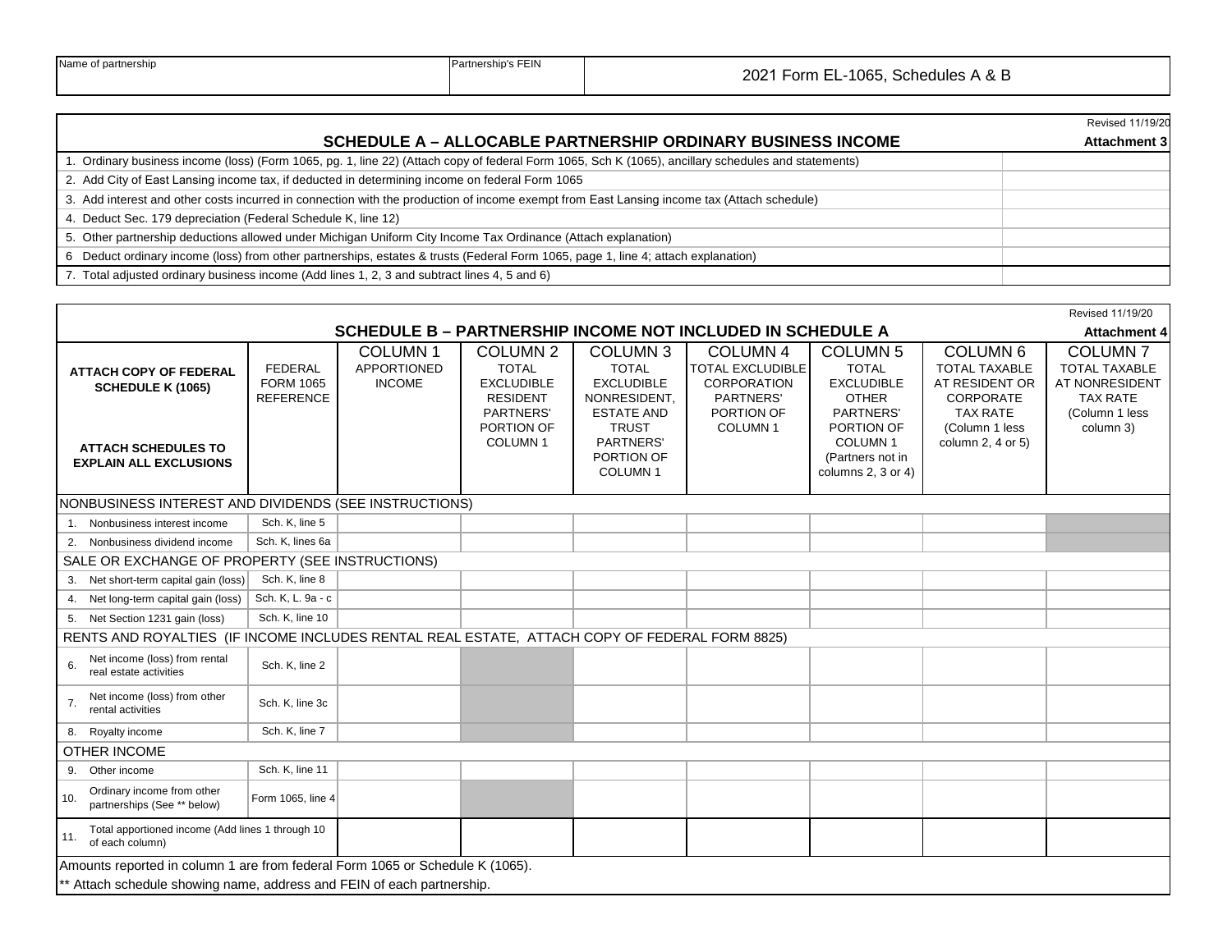|  |  | Name of partnership |
|--|--|---------------------|
|--|--|---------------------|

|                                                                                                                                                     | Revised 11/19/20    |
|-----------------------------------------------------------------------------------------------------------------------------------------------------|---------------------|
| <b>SCHEDULE A - ALLOCABLE PARTNERSHIP ORDINARY BUSINESS INCOME</b>                                                                                  | <b>Attachment 3</b> |
| 1. Ordinary business income (loss) (Form 1065, pg. 1, line 22) (Attach copy of federal Form 1065, Sch K (1065), ancillary schedules and statements) |                     |
| 2. Add City of East Lansing income tax, if deducted in determining income on federal Form 1065                                                      |                     |
| 3. Add interest and other costs incurred in connection with the production of income exempt from East Lansing income tax (Attach schedule)          |                     |
| 4. Deduct Sec. 179 depreciation (Federal Schedule K, line 12)                                                                                       |                     |
| 5. Other partnership deductions allowed under Michigan Uniform City Income Tax Ordinance (Attach explanation)                                       |                     |
| 6 Deduct ordinary income (loss) from other partnerships, estates & trusts (Federal Form 1065, page 1, line 4; attach explanation)                   |                     |
| 7. Total adjusted ordinary business income (Add lines 1, 2, 3 and subtract lines 4, 5 and 6)                                                        |                     |

|                                                                                                                                                         |                                                        |                                                |                                                                                                                               |                                                                                                                                                        |                                                                                                                    |                                                                                                                                                             |                                                                                                                                      | Revised 11/19/20                                                                                           |
|---------------------------------------------------------------------------------------------------------------------------------------------------------|--------------------------------------------------------|------------------------------------------------|-------------------------------------------------------------------------------------------------------------------------------|--------------------------------------------------------------------------------------------------------------------------------------------------------|--------------------------------------------------------------------------------------------------------------------|-------------------------------------------------------------------------------------------------------------------------------------------------------------|--------------------------------------------------------------------------------------------------------------------------------------|------------------------------------------------------------------------------------------------------------|
| SCHEDULE B - PARTNERSHIP INCOME NOT INCLUDED IN SCHEDULE A<br><b>Attachment 4</b>                                                                       |                                                        |                                                |                                                                                                                               |                                                                                                                                                        |                                                                                                                    |                                                                                                                                                             |                                                                                                                                      |                                                                                                            |
| <b>ATTACH COPY OF FEDERAL</b><br><b>SCHEDULE K (1065)</b><br><b>ATTACH SCHEDULES TO</b><br><b>EXPLAIN ALL EXCLUSIONS</b>                                | <b>FEDERAL</b><br><b>FORM 1065</b><br><b>REFERENCE</b> | <b>COLUMN1</b><br>APPORTIONED<br><b>INCOME</b> | COLUMN <sub>2</sub><br><b>TOTAL</b><br><b>EXCLUDIBLE</b><br><b>RESIDENT</b><br>PARTNERS'<br>PORTION OF<br>COLUMN <sub>1</sub> | <b>COLUMN 3</b><br><b>TOTAL</b><br><b>EXCLUDIBLE</b><br>NONRESIDENT,<br><b>ESTATE AND</b><br><b>TRUST</b><br>PARTNERS'<br>PORTION OF<br><b>COLUMN1</b> | <b>COLUMN 4</b><br><b>TOTAL EXCLUDIBLE</b><br><b>CORPORATION</b><br>PARTNERS'<br>PORTION OF<br>COLUMN <sub>1</sub> | <b>COLUMN 5</b><br><b>TOTAL</b><br><b>EXCLUDIBLE</b><br><b>OTHER</b><br>PARTNERS'<br>PORTION OF<br><b>COLUMN1</b><br>(Partners not in<br>columns 2, 3 or 4) | COLUMN <sub>6</sub><br><b>TOTAL TAXABLE</b><br>AT RESIDENT OR<br>CORPORATE<br><b>TAX RATE</b><br>(Column 1 less<br>column 2, 4 or 5) | <b>COLUMN7</b><br><b>TOTAL TAXABLE</b><br>AT NONRESIDENT<br><b>TAX RATE</b><br>(Column 1 less<br>column 3) |
| NONBUSINESS INTEREST AND DIVIDENDS (SEE INSTRUCTIONS)                                                                                                   |                                                        |                                                |                                                                                                                               |                                                                                                                                                        |                                                                                                                    |                                                                                                                                                             |                                                                                                                                      |                                                                                                            |
| 1. Nonbusiness interest income                                                                                                                          | Sch. K, line 5                                         |                                                |                                                                                                                               |                                                                                                                                                        |                                                                                                                    |                                                                                                                                                             |                                                                                                                                      |                                                                                                            |
| 2. Nonbusiness dividend income                                                                                                                          | Sch. K, lines 6a                                       |                                                |                                                                                                                               |                                                                                                                                                        |                                                                                                                    |                                                                                                                                                             |                                                                                                                                      |                                                                                                            |
| SALE OR EXCHANGE OF PROPERTY (SEE INSTRUCTIONS)                                                                                                         |                                                        |                                                |                                                                                                                               |                                                                                                                                                        |                                                                                                                    |                                                                                                                                                             |                                                                                                                                      |                                                                                                            |
| 3. Net short-term capital gain (loss)                                                                                                                   | Sch. K, line 8                                         |                                                |                                                                                                                               |                                                                                                                                                        |                                                                                                                    |                                                                                                                                                             |                                                                                                                                      |                                                                                                            |
| 4. Net long-term capital gain (loss)                                                                                                                    | Sch. K, L. 9a - c                                      |                                                |                                                                                                                               |                                                                                                                                                        |                                                                                                                    |                                                                                                                                                             |                                                                                                                                      |                                                                                                            |
| 5. Net Section 1231 gain (loss)                                                                                                                         | Sch. K, line 10                                        |                                                |                                                                                                                               |                                                                                                                                                        |                                                                                                                    |                                                                                                                                                             |                                                                                                                                      |                                                                                                            |
| RENTS AND ROYALTIES (IF INCOME INCLUDES RENTAL REAL ESTATE, ATTACH COPY OF FEDERAL FORM 8825)                                                           |                                                        |                                                |                                                                                                                               |                                                                                                                                                        |                                                                                                                    |                                                                                                                                                             |                                                                                                                                      |                                                                                                            |
| Net income (loss) from rental<br>6.<br>real estate activities                                                                                           | Sch. K, line 2                                         |                                                |                                                                                                                               |                                                                                                                                                        |                                                                                                                    |                                                                                                                                                             |                                                                                                                                      |                                                                                                            |
| Net income (loss) from other<br>7.<br>rental activities                                                                                                 | Sch. K, line 3c                                        |                                                |                                                                                                                               |                                                                                                                                                        |                                                                                                                    |                                                                                                                                                             |                                                                                                                                      |                                                                                                            |
| 8. Royalty income                                                                                                                                       | Sch. K, line 7                                         |                                                |                                                                                                                               |                                                                                                                                                        |                                                                                                                    |                                                                                                                                                             |                                                                                                                                      |                                                                                                            |
| <b>OTHER INCOME</b>                                                                                                                                     |                                                        |                                                |                                                                                                                               |                                                                                                                                                        |                                                                                                                    |                                                                                                                                                             |                                                                                                                                      |                                                                                                            |
| 9. Other income                                                                                                                                         | Sch. K, line 11                                        |                                                |                                                                                                                               |                                                                                                                                                        |                                                                                                                    |                                                                                                                                                             |                                                                                                                                      |                                                                                                            |
| Ordinary income from other<br>10.<br>partnerships (See ** below)                                                                                        | Form 1065, line 4                                      |                                                |                                                                                                                               |                                                                                                                                                        |                                                                                                                    |                                                                                                                                                             |                                                                                                                                      |                                                                                                            |
| Total apportioned income (Add lines 1 through 10<br>11.<br>of each column)                                                                              |                                                        |                                                |                                                                                                                               |                                                                                                                                                        |                                                                                                                    |                                                                                                                                                             |                                                                                                                                      |                                                                                                            |
| Amounts reported in column 1 are from federal Form 1065 or Schedule K (1065).<br>** Attach schedule showing name, address and FEIN of each partnership. |                                                        |                                                |                                                                                                                               |                                                                                                                                                        |                                                                                                                    |                                                                                                                                                             |                                                                                                                                      |                                                                                                            |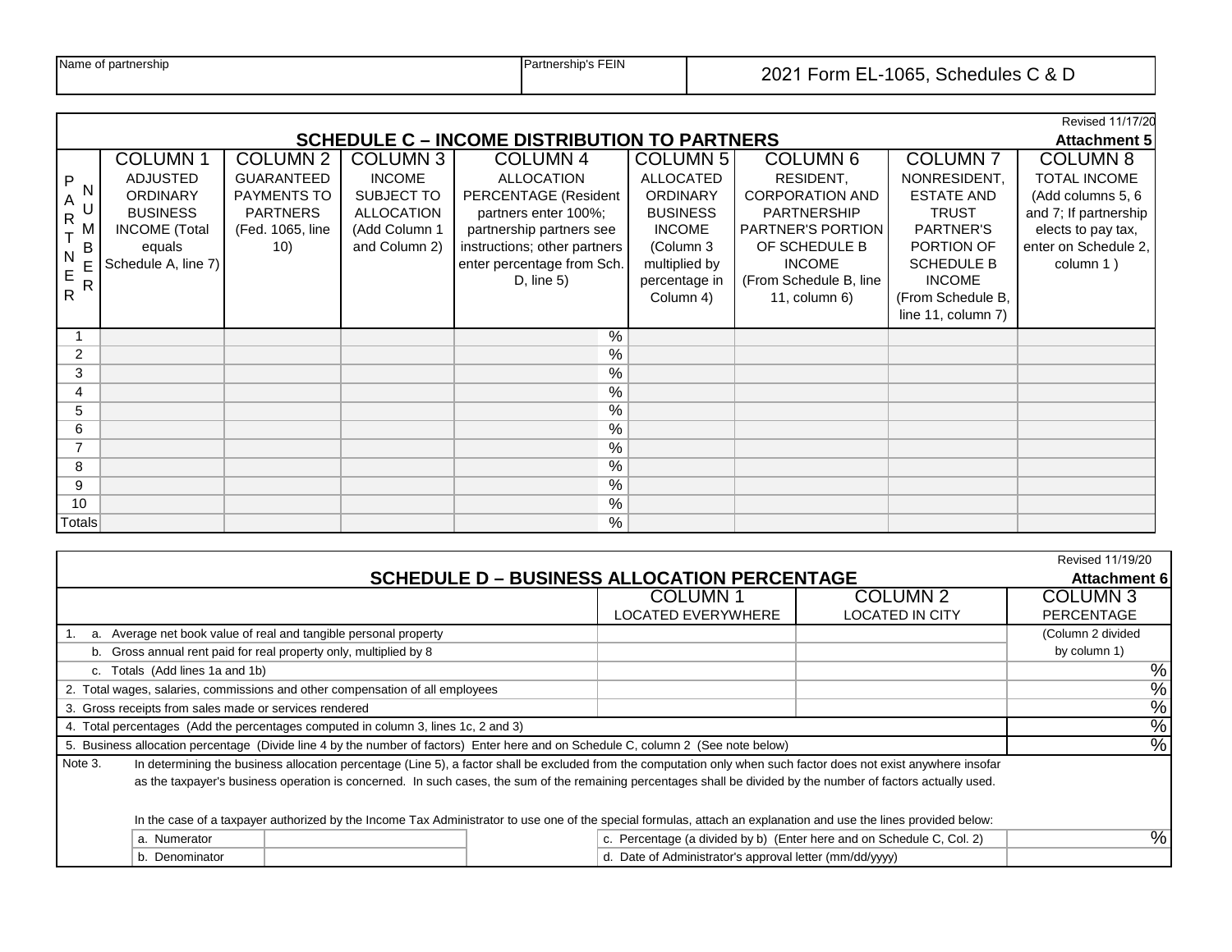|  | Name of partnership |
|--|---------------------|
|--|---------------------|

|                                       | Revised 11/17/20                                                                        |                                                                                |                                                                             |                                                                                                                               |                                                                                      |                                                                                                        |                                                                                     |                                                                                                                 |  |  |  |
|---------------------------------------|-----------------------------------------------------------------------------------------|--------------------------------------------------------------------------------|-----------------------------------------------------------------------------|-------------------------------------------------------------------------------------------------------------------------------|--------------------------------------------------------------------------------------|--------------------------------------------------------------------------------------------------------|-------------------------------------------------------------------------------------|-----------------------------------------------------------------------------------------------------------------|--|--|--|
|                                       | <b>SCHEDULE C – INCOME DISTRIBUTION TO PARTNERS</b><br><b>Attachment 5</b>              |                                                                                |                                                                             |                                                                                                                               |                                                                                      |                                                                                                        |                                                                                     |                                                                                                                 |  |  |  |
|                                       | <b>COLUMN1</b>                                                                          | <b>COLUMN 2</b>                                                                | COLUMN <sub>3</sub>                                                         | <b>COLUMN 4</b>                                                                                                               | COLUMN 5                                                                             | <b>COLUMN 6</b>                                                                                        | <b>COLUMN7</b>                                                                      | <b>COLUMN 8</b>                                                                                                 |  |  |  |
| P<br>N<br>A<br>$\mathsf{R}$<br>M<br>B | <b>ADJUSTED</b><br><b>ORDINARY</b><br><b>BUSINESS</b><br><b>INCOME</b> (Total<br>equals | <b>GUARANTEED</b><br>PAYMENTS TO<br><b>PARTNERS</b><br>(Fed. 1065, line<br>10) | <b>INCOME</b><br>SUBJECT TO<br>ALLOCATION<br>(Add Column 1<br>and Column 2) | <b>ALLOCATION</b><br>PERCENTAGE (Resident<br>partners enter 100%;<br>partnership partners see<br>instructions; other partners | <b>ALLOCATED</b><br><b>ORDINARY</b><br><b>BUSINESS</b><br><b>INCOME</b><br>(Column 3 | RESIDENT,<br><b>CORPORATION AND</b><br><b>PARTNERSHIP</b><br><b>PARTNER'S PORTION</b><br>OF SCHEDULE B | NONRESIDENT,<br><b>ESTATE AND</b><br><b>TRUST</b><br><b>PARTNER'S</b><br>PORTION OF | <b>TOTAL INCOME</b><br>(Add columns 5, 6<br>and 7; If partnership<br>elects to pay tax,<br>enter on Schedule 2, |  |  |  |
| N                                     | Schedule A, line 7)                                                                     |                                                                                |                                                                             | enter percentage from Sch.                                                                                                    | multiplied by                                                                        | <b>INCOME</b>                                                                                          | <b>SCHEDULE B</b>                                                                   | column 1)                                                                                                       |  |  |  |
| E<br>R                                |                                                                                         |                                                                                |                                                                             | D, line 5)                                                                                                                    | percentage in                                                                        | (From Schedule B, line                                                                                 | <b>INCOME</b>                                                                       |                                                                                                                 |  |  |  |
| $\overline{R}$                        |                                                                                         |                                                                                |                                                                             |                                                                                                                               | Column 4)                                                                            | $11$ , column 6)                                                                                       | (From Schedule B,                                                                   |                                                                                                                 |  |  |  |
|                                       |                                                                                         |                                                                                |                                                                             |                                                                                                                               |                                                                                      |                                                                                                        | line 11, column 7)                                                                  |                                                                                                                 |  |  |  |
|                                       |                                                                                         |                                                                                |                                                                             | %                                                                                                                             |                                                                                      |                                                                                                        |                                                                                     |                                                                                                                 |  |  |  |
| 2                                     |                                                                                         |                                                                                |                                                                             | $\%$                                                                                                                          |                                                                                      |                                                                                                        |                                                                                     |                                                                                                                 |  |  |  |
| 3                                     |                                                                                         |                                                                                |                                                                             | $\%$                                                                                                                          |                                                                                      |                                                                                                        |                                                                                     |                                                                                                                 |  |  |  |
| 4                                     |                                                                                         |                                                                                |                                                                             | %                                                                                                                             |                                                                                      |                                                                                                        |                                                                                     |                                                                                                                 |  |  |  |
| 5                                     |                                                                                         |                                                                                |                                                                             | $\%$                                                                                                                          |                                                                                      |                                                                                                        |                                                                                     |                                                                                                                 |  |  |  |
| 6                                     |                                                                                         |                                                                                |                                                                             | %                                                                                                                             |                                                                                      |                                                                                                        |                                                                                     |                                                                                                                 |  |  |  |
|                                       |                                                                                         |                                                                                |                                                                             | %                                                                                                                             |                                                                                      |                                                                                                        |                                                                                     |                                                                                                                 |  |  |  |
| 8                                     |                                                                                         |                                                                                |                                                                             | $\%$                                                                                                                          |                                                                                      |                                                                                                        |                                                                                     |                                                                                                                 |  |  |  |
| 9                                     |                                                                                         |                                                                                |                                                                             | %                                                                                                                             |                                                                                      |                                                                                                        |                                                                                     |                                                                                                                 |  |  |  |
| 10                                    |                                                                                         |                                                                                |                                                                             | %                                                                                                                             |                                                                                      |                                                                                                        |                                                                                     |                                                                                                                 |  |  |  |
| <b>Totals</b>                         |                                                                                         |                                                                                |                                                                             | %                                                                                                                             |                                                                                      |                                                                                                        |                                                                                     |                                                                                                                 |  |  |  |

|                                                                               |                                                                                                                                                                   |  |                                                                       |                        | Revised 11/19/20  |  |  |  |
|-------------------------------------------------------------------------------|-------------------------------------------------------------------------------------------------------------------------------------------------------------------|--|-----------------------------------------------------------------------|------------------------|-------------------|--|--|--|
| <b>SCHEDULE D - BUSINESS ALLOCATION PERCENTAGE</b>                            |                                                                                                                                                                   |  |                                                                       |                        |                   |  |  |  |
|                                                                               | <b>COLUMN1</b><br><b>COLUMN 2</b>                                                                                                                                 |  |                                                                       |                        |                   |  |  |  |
|                                                                               |                                                                                                                                                                   |  | <b>LOCATED EVERYWHERE</b>                                             | <b>LOCATED IN CITY</b> | <b>PERCENTAGE</b> |  |  |  |
|                                                                               | a. Average net book value of real and tangible personal property                                                                                                  |  |                                                                       |                        | (Column 2 divided |  |  |  |
|                                                                               | b. Gross annual rent paid for real property only, multiplied by 8                                                                                                 |  |                                                                       |                        | by column 1)      |  |  |  |
| c. Totals (Add lines 1a and 1b)                                               |                                                                                                                                                                   |  |                                                                       |                        | %                 |  |  |  |
| 2. Total wages, salaries, commissions and other compensation of all employees |                                                                                                                                                                   |  |                                                                       |                        |                   |  |  |  |
|                                                                               | 3. Gross receipts from sales made or services rendered                                                                                                            |  |                                                                       |                        |                   |  |  |  |
|                                                                               | 4. Total percentages (Add the percentages computed in column 3, lines 1c, 2 and 3)                                                                                |  |                                                                       |                        | $\%$              |  |  |  |
|                                                                               | 5. Business allocation percentage (Divide line 4 by the number of factors) Enter here and on Schedule C, column 2 (See note below)                                |  |                                                                       |                        | $\overline{\%}$   |  |  |  |
| Note 3.                                                                       | In determining the business allocation percentage (Line 5), a factor shall be excluded from the computation only when such factor does not exist anywhere insofar |  |                                                                       |                        |                   |  |  |  |
|                                                                               | as the taxpayer's business operation is concerned. In such cases, the sum of the remaining percentages shall be divided by the number of factors actually used.   |  |                                                                       |                        |                   |  |  |  |
|                                                                               |                                                                                                                                                                   |  |                                                                       |                        |                   |  |  |  |
|                                                                               | In the case of a taxpayer authorized by the Income Tax Administrator to use one of the special formulas, attach an explanation and use the lines provided below:  |  |                                                                       |                        |                   |  |  |  |
| a. Numerator                                                                  |                                                                                                                                                                   |  | c. Percentage (a divided by b) (Enter here and on Schedule C, Col. 2) |                        | $\overline{\%}$   |  |  |  |
| b. Denominator                                                                |                                                                                                                                                                   |  | d. Date of Administrator's approval letter (mm/dd/yyyy)               |                        |                   |  |  |  |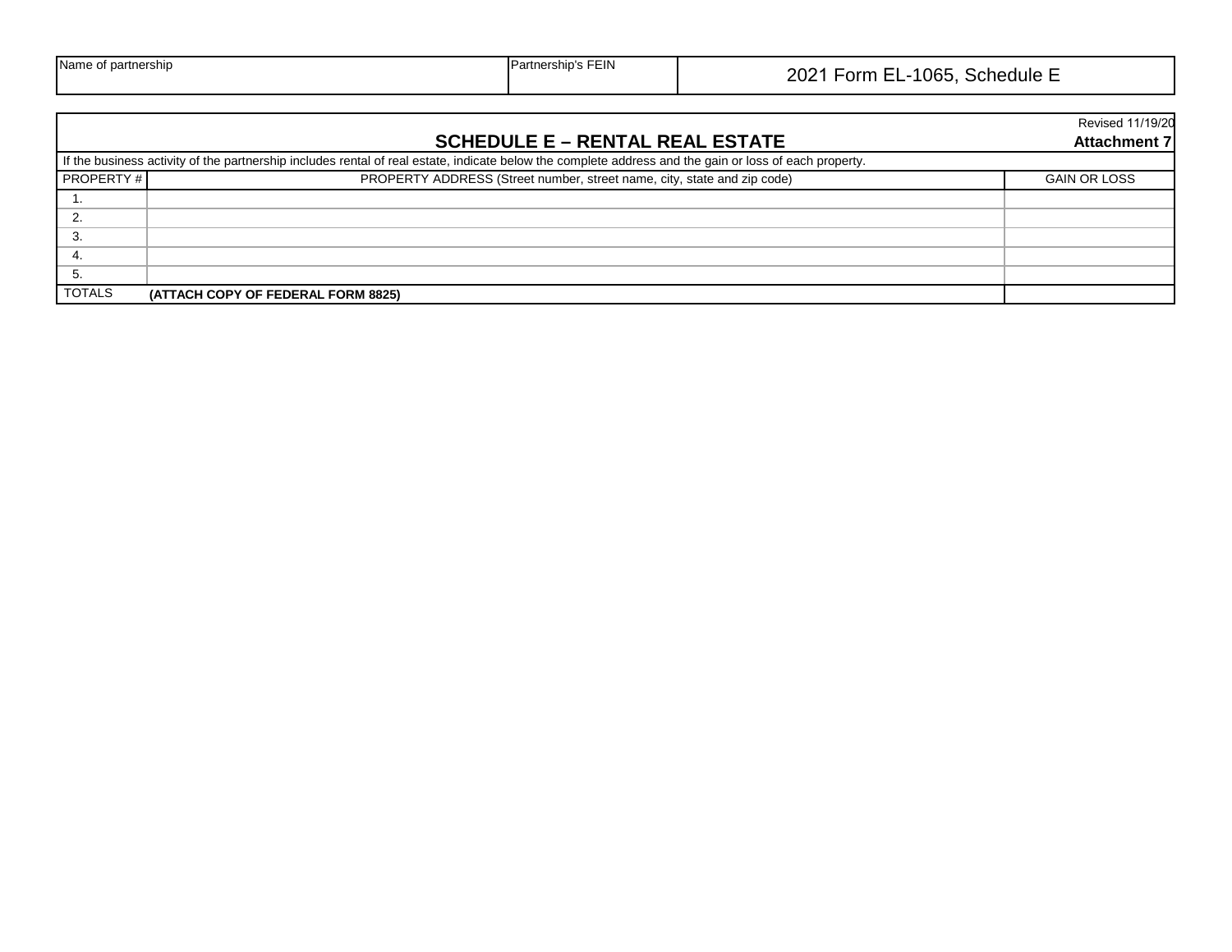| <b>Name</b><br>' partnershin | FEIN<br>artner: | 065<br>ንበኃ<br>__<br>orn<br>Schedule<br>. .<br>. . |
|------------------------------|-----------------|---------------------------------------------------|
|------------------------------|-----------------|---------------------------------------------------|

|                  |                                                                                                                                                        | <b>Revised 11/19/20</b> |
|------------------|--------------------------------------------------------------------------------------------------------------------------------------------------------|-------------------------|
|                  | <b>SCHEDULE E - RENTAL REAL ESTATE</b>                                                                                                                 | <b>Attachment 7</b>     |
|                  | If the business activity of the partnership includes rental of real estate, indicate below the complete address and the gain or loss of each property. |                         |
| <b>PROPERTY#</b> | PROPERTY ADDRESS (Street number, street name, city, state and zip code)                                                                                | <b>GAIN OR LOSS</b>     |
|                  |                                                                                                                                                        |                         |
| 2.               |                                                                                                                                                        |                         |
| З.               |                                                                                                                                                        |                         |
| 4.               |                                                                                                                                                        |                         |
| 5.               |                                                                                                                                                        |                         |
| <b>TOTALS</b>    | (ATTACH COPY OF FEDERAL FORM 8825)                                                                                                                     |                         |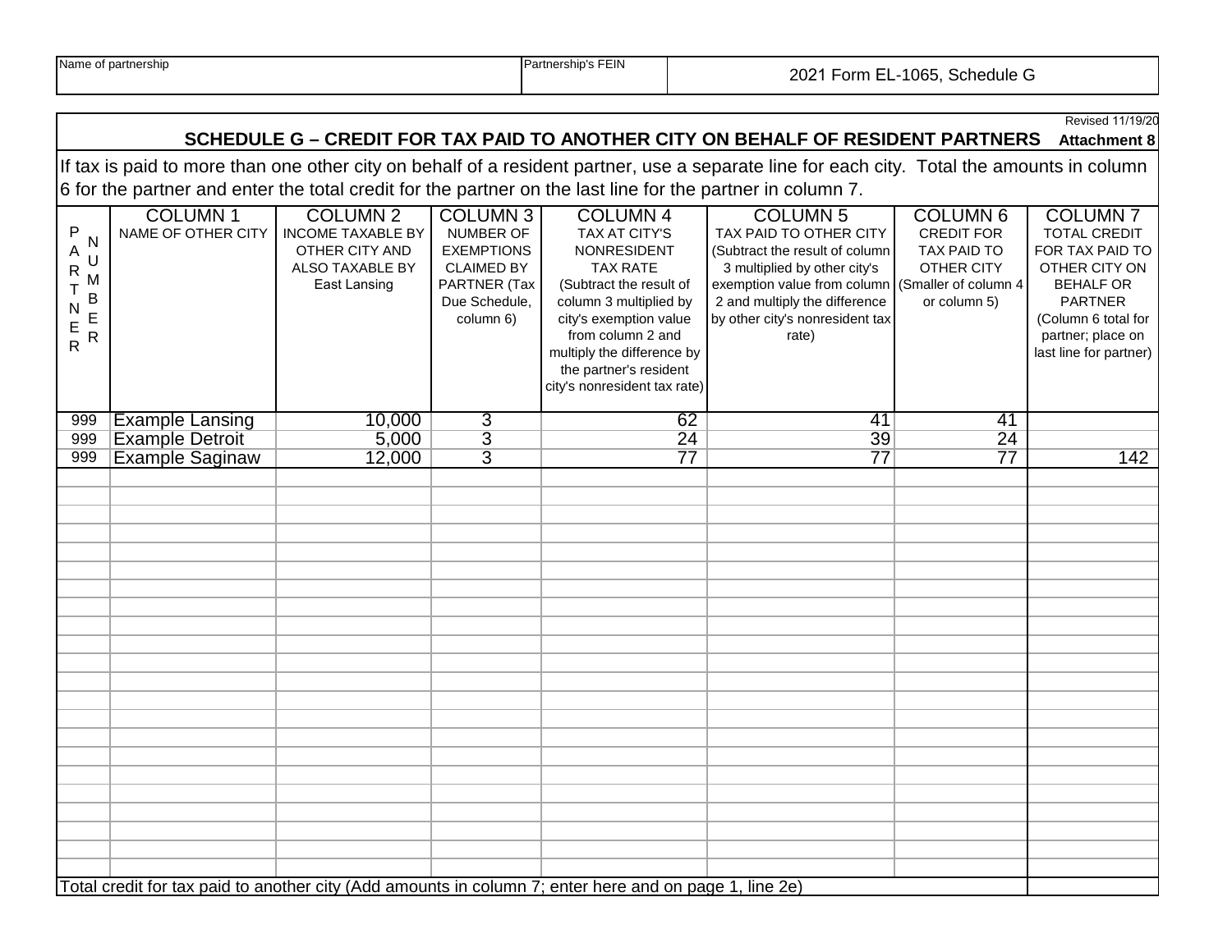|                                                                                                                                                                                                                               |                                                                                                        |                                                                                                  |                                                                                                                      |                                                                                                                                                                                                                                                                              |                                                                                                                                                                                                                                               |                                                                                                 | Revised 11/19/20<br><b>Attachment 8</b>                                                                                                                                               |  |  |  |
|-------------------------------------------------------------------------------------------------------------------------------------------------------------------------------------------------------------------------------|--------------------------------------------------------------------------------------------------------|--------------------------------------------------------------------------------------------------|----------------------------------------------------------------------------------------------------------------------|------------------------------------------------------------------------------------------------------------------------------------------------------------------------------------------------------------------------------------------------------------------------------|-----------------------------------------------------------------------------------------------------------------------------------------------------------------------------------------------------------------------------------------------|-------------------------------------------------------------------------------------------------|---------------------------------------------------------------------------------------------------------------------------------------------------------------------------------------|--|--|--|
| SCHEDULE G - CREDIT FOR TAX PAID TO ANOTHER CITY ON BEHALF OF RESIDENT PARTNERS<br>If tax is paid to more than one other city on behalf of a resident partner, use a separate line for each city. Total the amounts in column |                                                                                                        |                                                                                                  |                                                                                                                      |                                                                                                                                                                                                                                                                              |                                                                                                                                                                                                                                               |                                                                                                 |                                                                                                                                                                                       |  |  |  |
| 6 for the partner and enter the total credit for the partner on the last line for the partner in column 7.                                                                                                                    |                                                                                                        |                                                                                                  |                                                                                                                      |                                                                                                                                                                                                                                                                              |                                                                                                                                                                                                                                               |                                                                                                 |                                                                                                                                                                                       |  |  |  |
| $\sf P$<br>N<br>A<br>U<br>$\overline{\mathsf{R}}$<br>Μ<br>$\top$<br>B<br>$\mathsf{N}$<br>E<br>$\frac{E}{R}$<br>$\mathsf R$                                                                                                    | <b>COLUMN1</b><br>NAME OF OTHER CITY                                                                   | <b>COLUMN 2</b><br><b>INCOME TAXABLE BY</b><br>OTHER CITY AND<br>ALSO TAXABLE BY<br>East Lansing | <b>COLUMN 3</b><br>NUMBER OF<br><b>EXEMPTIONS</b><br><b>CLAIMED BY</b><br>PARTNER (Tax<br>Due Schedule,<br>column 6) | <b>COLUMN 4</b><br><b>TAX AT CITY'S</b><br><b>NONRESIDENT</b><br><b>TAX RATE</b><br>(Subtract the result of<br>column 3 multiplied by<br>city's exemption value<br>from column 2 and<br>multiply the difference by<br>the partner's resident<br>city's nonresident tax rate) | <b>COLUMN 5</b><br>TAX PAID TO OTHER CITY<br>(Subtract the result of column<br>3 multiplied by other city's<br>exemption value from column (Smaller of column 4)<br>2 and multiply the difference<br>by other city's nonresident tax<br>rate) | <b>COLUMN 6</b><br><b>CREDIT FOR</b><br><b>TAX PAID TO</b><br><b>OTHER CITY</b><br>or column 5) | <b>COLUMN7</b><br><b>TOTAL CREDIT</b><br>FOR TAX PAID TO<br>OTHER CITY ON<br><b>BEHALF OR</b><br><b>PARTNER</b><br>(Column 6 total for<br>partner; place on<br>last line for partner) |  |  |  |
| 999                                                                                                                                                                                                                           | <b>Example Lansing</b>                                                                                 | 10,000                                                                                           | 3                                                                                                                    | 62                                                                                                                                                                                                                                                                           | 41                                                                                                                                                                                                                                            | 41                                                                                              |                                                                                                                                                                                       |  |  |  |
| 999                                                                                                                                                                                                                           | <b>Example Detroit</b>                                                                                 | 5,000                                                                                            | $\overline{3}$                                                                                                       | $\overline{24}$                                                                                                                                                                                                                                                              | $\overline{39}$                                                                                                                                                                                                                               | $\overline{24}$                                                                                 |                                                                                                                                                                                       |  |  |  |
| 999                                                                                                                                                                                                                           | <b>Example Saginaw</b>                                                                                 | 12,000                                                                                           | $\overline{3}$                                                                                                       | $\overline{77}$                                                                                                                                                                                                                                                              | $\overline{77}$                                                                                                                                                                                                                               | $\overline{77}$                                                                                 | 142                                                                                                                                                                                   |  |  |  |
|                                                                                                                                                                                                                               |                                                                                                        |                                                                                                  |                                                                                                                      |                                                                                                                                                                                                                                                                              |                                                                                                                                                                                                                                               |                                                                                                 |                                                                                                                                                                                       |  |  |  |
|                                                                                                                                                                                                                               |                                                                                                        |                                                                                                  |                                                                                                                      |                                                                                                                                                                                                                                                                              |                                                                                                                                                                                                                                               |                                                                                                 |                                                                                                                                                                                       |  |  |  |
|                                                                                                                                                                                                                               |                                                                                                        |                                                                                                  |                                                                                                                      |                                                                                                                                                                                                                                                                              |                                                                                                                                                                                                                                               |                                                                                                 |                                                                                                                                                                                       |  |  |  |
|                                                                                                                                                                                                                               |                                                                                                        |                                                                                                  |                                                                                                                      |                                                                                                                                                                                                                                                                              |                                                                                                                                                                                                                                               |                                                                                                 |                                                                                                                                                                                       |  |  |  |
|                                                                                                                                                                                                                               |                                                                                                        |                                                                                                  |                                                                                                                      |                                                                                                                                                                                                                                                                              |                                                                                                                                                                                                                                               |                                                                                                 |                                                                                                                                                                                       |  |  |  |
|                                                                                                                                                                                                                               |                                                                                                        |                                                                                                  |                                                                                                                      |                                                                                                                                                                                                                                                                              |                                                                                                                                                                                                                                               |                                                                                                 |                                                                                                                                                                                       |  |  |  |
|                                                                                                                                                                                                                               |                                                                                                        |                                                                                                  |                                                                                                                      |                                                                                                                                                                                                                                                                              |                                                                                                                                                                                                                                               |                                                                                                 |                                                                                                                                                                                       |  |  |  |
|                                                                                                                                                                                                                               |                                                                                                        |                                                                                                  |                                                                                                                      |                                                                                                                                                                                                                                                                              |                                                                                                                                                                                                                                               |                                                                                                 |                                                                                                                                                                                       |  |  |  |
|                                                                                                                                                                                                                               |                                                                                                        |                                                                                                  |                                                                                                                      |                                                                                                                                                                                                                                                                              |                                                                                                                                                                                                                                               |                                                                                                 |                                                                                                                                                                                       |  |  |  |
|                                                                                                                                                                                                                               |                                                                                                        |                                                                                                  |                                                                                                                      |                                                                                                                                                                                                                                                                              |                                                                                                                                                                                                                                               |                                                                                                 |                                                                                                                                                                                       |  |  |  |
|                                                                                                                                                                                                                               |                                                                                                        |                                                                                                  |                                                                                                                      |                                                                                                                                                                                                                                                                              |                                                                                                                                                                                                                                               |                                                                                                 |                                                                                                                                                                                       |  |  |  |
|                                                                                                                                                                                                                               |                                                                                                        |                                                                                                  |                                                                                                                      |                                                                                                                                                                                                                                                                              |                                                                                                                                                                                                                                               |                                                                                                 |                                                                                                                                                                                       |  |  |  |
|                                                                                                                                                                                                                               |                                                                                                        |                                                                                                  |                                                                                                                      |                                                                                                                                                                                                                                                                              |                                                                                                                                                                                                                                               |                                                                                                 |                                                                                                                                                                                       |  |  |  |
|                                                                                                                                                                                                                               |                                                                                                        |                                                                                                  |                                                                                                                      |                                                                                                                                                                                                                                                                              |                                                                                                                                                                                                                                               |                                                                                                 |                                                                                                                                                                                       |  |  |  |
|                                                                                                                                                                                                                               |                                                                                                        |                                                                                                  |                                                                                                                      |                                                                                                                                                                                                                                                                              |                                                                                                                                                                                                                                               |                                                                                                 |                                                                                                                                                                                       |  |  |  |
|                                                                                                                                                                                                                               |                                                                                                        |                                                                                                  |                                                                                                                      |                                                                                                                                                                                                                                                                              |                                                                                                                                                                                                                                               |                                                                                                 |                                                                                                                                                                                       |  |  |  |
|                                                                                                                                                                                                                               |                                                                                                        |                                                                                                  |                                                                                                                      |                                                                                                                                                                                                                                                                              |                                                                                                                                                                                                                                               |                                                                                                 |                                                                                                                                                                                       |  |  |  |
|                                                                                                                                                                                                                               |                                                                                                        |                                                                                                  |                                                                                                                      |                                                                                                                                                                                                                                                                              |                                                                                                                                                                                                                                               |                                                                                                 |                                                                                                                                                                                       |  |  |  |
|                                                                                                                                                                                                                               |                                                                                                        |                                                                                                  |                                                                                                                      |                                                                                                                                                                                                                                                                              |                                                                                                                                                                                                                                               |                                                                                                 |                                                                                                                                                                                       |  |  |  |
|                                                                                                                                                                                                                               |                                                                                                        |                                                                                                  |                                                                                                                      |                                                                                                                                                                                                                                                                              |                                                                                                                                                                                                                                               |                                                                                                 |                                                                                                                                                                                       |  |  |  |
|                                                                                                                                                                                                                               | Total credit for tax paid to another city (Add amounts in column 7; enter here and on page 1, line 2e) |                                                                                                  |                                                                                                                      |                                                                                                                                                                                                                                                                              |                                                                                                                                                                                                                                               |                                                                                                 |                                                                                                                                                                                       |  |  |  |